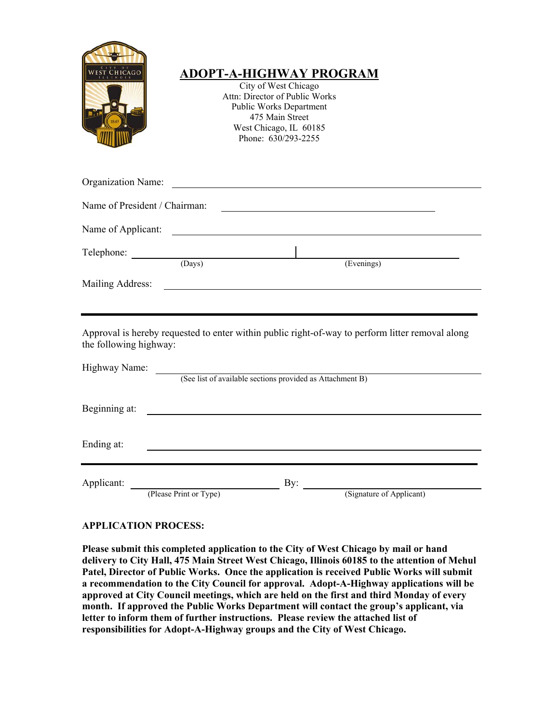

# **ADOPT-A-HIGHWAY PROGRAM**

City of West Chicago Attn: Director of Public Works Public Works Department 475 Main Street West Chicago, IL 60185 Phone: 630/293-2255

| <b>Organization Name:</b>     |        |                                                                                                  |  |
|-------------------------------|--------|--------------------------------------------------------------------------------------------------|--|
| Name of President / Chairman: |        |                                                                                                  |  |
| Name of Applicant:            |        |                                                                                                  |  |
| Telephone:                    | (Days) | (Evenings)                                                                                       |  |
| Mailing Address:              |        |                                                                                                  |  |
| the following highway:        |        | Approval is hereby requested to enter within public right-of-way to perform litter removal along |  |
| Highway Name:                 |        | (See list of available sections provided as Attachment B)                                        |  |
| Beginning at:                 |        |                                                                                                  |  |

Beginning at:

Ending at:

Applicant: By:

(Please Print or Type) (Signature of Applicant)

## **APPLICATION PROCESS:**

**Please submit this completed application to the City of West Chicago by mail or hand delivery to City Hall, 475 Main Street West Chicago, Illinois 60185 to the attention of Mehul Patel, Director of Public Works. Once the application is received Public Works will submit a recommendation to the City Council for approval. Adopt-A-Highway applications will be approved at City Council meetings, which are held on the first and third Monday of every month. If approved the Public Works Department will contact the group's applicant, via letter to inform them of further instructions. Please review the attached list of responsibilities for Adopt-A-Highway groups and the City of West Chicago.**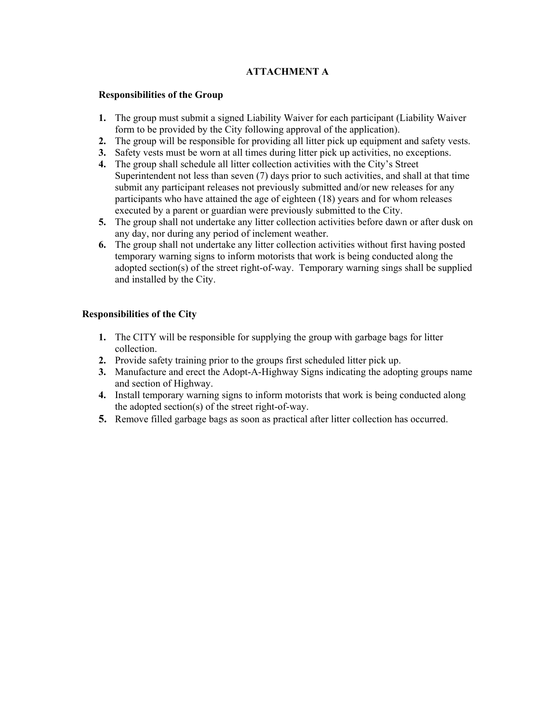### **ATTACHMENT A**

#### **Responsibilities of the Group**

- **1.** The group must submit a signed Liability Waiver for each participant (Liability Waiver form to be provided by the City following approval of the application).
- **2.** The group will be responsible for providing all litter pick up equipment and safety vests.
- **3.** Safety vests must be worn at all times during litter pick up activities, no exceptions.
- **4.** The group shall schedule all litter collection activities with the City's Street
- Superintendent not less than seven (7) days prior to such activities, and shall at that time submit any participant releases not previously submitted and/or new releases for any participants who have attained the age of eighteen (18) years and for whom releases executed by a parent or guardian were previously submitted to the City.
- **5.** The group shall not undertake any litter collection activities before dawn or after dusk on any day, nor during any period of inclement weather.
- **6.** The group shall not undertake any litter collection activities without first having posted temporary warning signs to inform motorists that work is being conducted along the adopted section(s) of the street right-of-way. Temporary warning sings shall be supplied and installed by the City.

### **Responsibilities of the City**

- **1.** The CITY will be responsible for supplying the group with garbage bags for litter collection.
- **2.** Provide safety training prior to the groups first scheduled litter pick up.
- **3.** Manufacture and erect the Adopt-A-Highway Signs indicating the adopting groups name and section of Highway.
- **4.** Install temporary warning signs to inform motorists that work is being conducted along the adopted section(s) of the street right-of-way.
- **5.** Remove filled garbage bags as soon as practical after litter collection has occurred.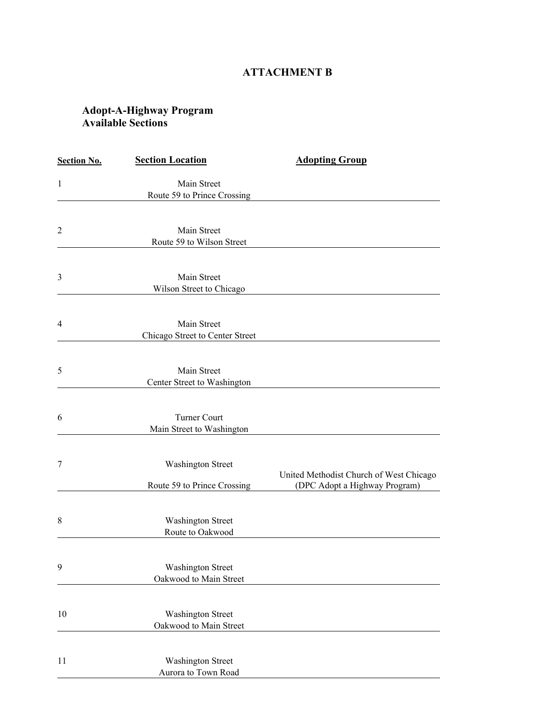## **ATTACHMENT B**

## **Adopt-A-Highway Program Available Sections**

| <b>Section No.</b> | <b>Section Location</b>         | <b>Adopting Group</b>                   |
|--------------------|---------------------------------|-----------------------------------------|
| $\mathbf{1}$       | Main Street                     |                                         |
|                    | Route 59 to Prince Crossing     |                                         |
|                    |                                 |                                         |
| $\overline{2}$     | Main Street                     |                                         |
|                    | Route 59 to Wilson Street       |                                         |
|                    |                                 |                                         |
| 3                  | Main Street                     |                                         |
|                    | Wilson Street to Chicago        |                                         |
|                    |                                 |                                         |
| $\overline{4}$     | Main Street                     |                                         |
|                    | Chicago Street to Center Street |                                         |
|                    |                                 |                                         |
| 5                  | Main Street                     |                                         |
|                    | Center Street to Washington     |                                         |
|                    |                                 |                                         |
| 6                  | Turner Court                    |                                         |
|                    | Main Street to Washington       |                                         |
|                    |                                 |                                         |
| 7                  | <b>Washington Street</b>        |                                         |
|                    |                                 | United Methodist Church of West Chicago |
|                    | Route 59 to Prince Crossing     | (DPC Adopt a Highway Program)           |
|                    |                                 |                                         |
| 8                  | <b>Washington Street</b>        |                                         |
|                    | Route to Oakwood                |                                         |
|                    |                                 |                                         |
| 9                  | <b>Washington Street</b>        |                                         |
|                    | Oakwood to Main Street          |                                         |
|                    |                                 |                                         |
| 10                 | <b>Washington Street</b>        |                                         |
|                    | Oakwood to Main Street          |                                         |
|                    |                                 |                                         |
| 11                 | <b>Washington Street</b>        |                                         |
|                    | Aurora to Town Road             |                                         |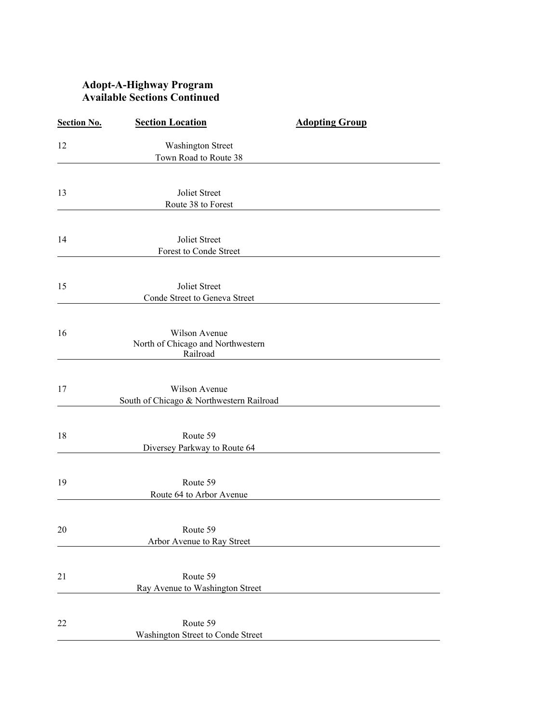## **Adopt-A-Highway Program Available Sections Continued**

| <b>Section No.</b> | <b>Section Location</b>                                   | <b>Adopting Group</b> |
|--------------------|-----------------------------------------------------------|-----------------------|
| 12                 | <b>Washington Street</b>                                  |                       |
|                    | Town Road to Route 38                                     |                       |
| 13                 | Joliet Street                                             |                       |
|                    | Route 38 to Forest                                        |                       |
|                    |                                                           |                       |
| 14                 | Joliet Street<br>Forest to Conde Street                   |                       |
|                    |                                                           |                       |
| 15                 | Joliet Street<br>Conde Street to Geneva Street            |                       |
|                    |                                                           |                       |
| 16                 | Wilson Avenue                                             |                       |
|                    | North of Chicago and Northwestern<br>Railroad             |                       |
|                    |                                                           |                       |
| 17                 | Wilson Avenue<br>South of Chicago & Northwestern Railroad |                       |
|                    |                                                           |                       |
| 18                 | Route 59                                                  |                       |
|                    | Diversey Parkway to Route 64                              |                       |
| 19                 | Route 59                                                  |                       |
|                    | Route 64 to Arbor Avenue                                  |                       |
|                    |                                                           |                       |
| 20                 | Route 59<br>Arbor Avenue to Ray Street                    |                       |
|                    |                                                           |                       |
| 21                 | Route 59                                                  |                       |
|                    | Ray Avenue to Washington Street                           |                       |
| 22                 | Route 59                                                  |                       |
|                    | Washington Street to Conde Street                         |                       |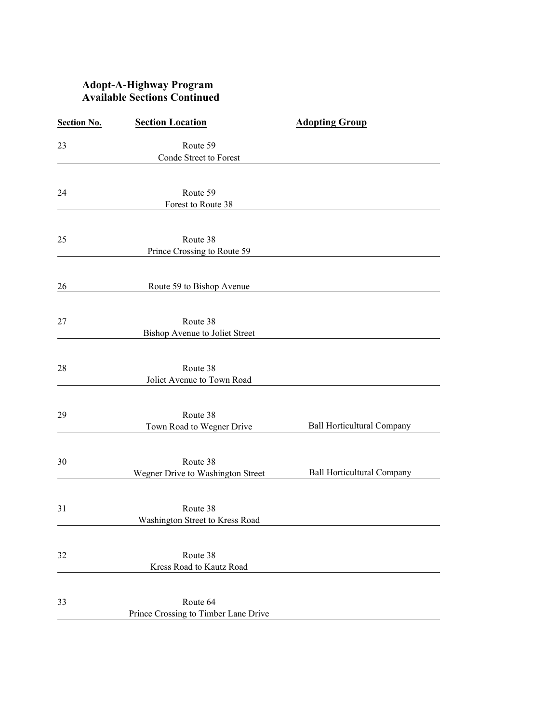## **Adopt-A-Highway Program Available Sections Continued**

| <b>Section No.</b> | <b>Section Location</b>                          | <b>Adopting Group</b>             |
|--------------------|--------------------------------------------------|-----------------------------------|
| 23                 | Route 59                                         |                                   |
|                    | Conde Street to Forest                           |                                   |
|                    |                                                  |                                   |
| 24                 | Route 59                                         |                                   |
|                    | Forest to Route 38                               |                                   |
| 25                 | Route 38                                         |                                   |
|                    | Prince Crossing to Route 59                      |                                   |
|                    |                                                  |                                   |
| 26                 | Route 59 to Bishop Avenue                        |                                   |
|                    |                                                  |                                   |
| 27                 | Route 38                                         |                                   |
|                    | Bishop Avenue to Joliet Street                   |                                   |
| 28                 | Route 38                                         |                                   |
|                    | Joliet Avenue to Town Road                       |                                   |
|                    |                                                  |                                   |
| 29                 | Route 38<br>Town Road to Wegner Drive            | <b>Ball Horticultural Company</b> |
|                    |                                                  |                                   |
| 30                 | Route 38                                         |                                   |
|                    | Wegner Drive to Washington Street                | <b>Ball Horticultural Company</b> |
|                    |                                                  |                                   |
| 31                 | Route 38<br>Washington Street to Kress Road      |                                   |
|                    |                                                  |                                   |
| 32                 | Route 38                                         |                                   |
|                    | Kress Road to Kautz Road                         |                                   |
|                    |                                                  |                                   |
| 33                 | Route 64<br>Prince Crossing to Timber Lane Drive |                                   |
|                    |                                                  |                                   |